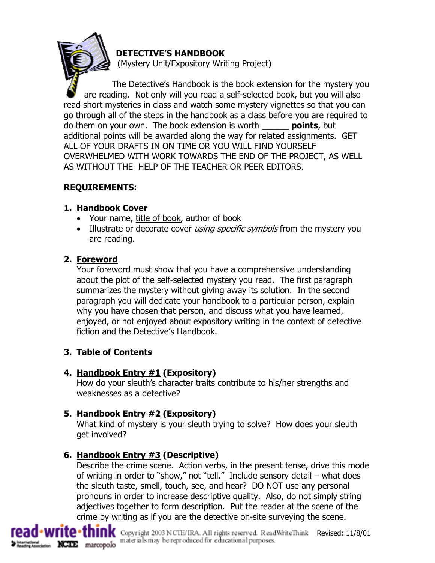## **DETECTIVE'S HANDBOOK**

(Mystery Unit/Expository Writing Project)

The Detective's Handbook is the book extension for the mystery you are reading. Not only will you read a self-selected book, but you will also read short mysteries in class and watch some mystery vignettes so that you can go through all of the steps in the handbook as a class before you are required to do them on your own. The book extension is worth **\_\_\_\_\_ points**, but additional points will be awarded along the way for related assignments. GET ALL OF YOUR DRAFTS IN ON TIME OR YOU WILL FIND YOURSELF OVERWHELMED WITH WORK TOWARDS THE END OF THE PROJECT, AS WELL AS WITHOUT THE HELP OF THE TEACHER OR PEER EDITORS.

# **REQUIREMENTS:**

## **1. Handbook Cover**

- Your name, title of book, author of book
- Illustrate or decorate cover using specific symbols from the mystery you are reading.

# **2. Foreword**

Your foreword must show that you have a comprehensive understanding about the plot of the self-selected mystery you read. The first paragraph summarizes the mystery without giving away its solution. In the second paragraph you will dedicate your handbook to a particular person, explain why you have chosen that person, and discuss what you have learned, enjoyed, or not enjoyed about expository writing in the context of detective fiction and the Detective's Handbook.

# **3. Table of Contents**

# **4. Handbook Entry #1 (Expository)**

How do your sleuth's character traits contribute to his/her strengths and weaknesses as a detective?

# **5. Handbook Entry #2 (Expository)**

What kind of mystery is your sleuth trying to solve? How does your sleuth get involved?

# **6. Handbook Entry #3 (Descriptive)**

Describe the crime scene. Action verbs, in the present tense, drive this mode of writing in order to "show," not "tell." Include sensory detail – what does the sleuth taste, smell, touch, see, and hear? DO NOT use any personal pronouns in order to increase descriptive quality. Also, do not simply string adjectives together to form description. Put the reader at the scene of the crime by writing as if you are the detective on-site surveying the scene.